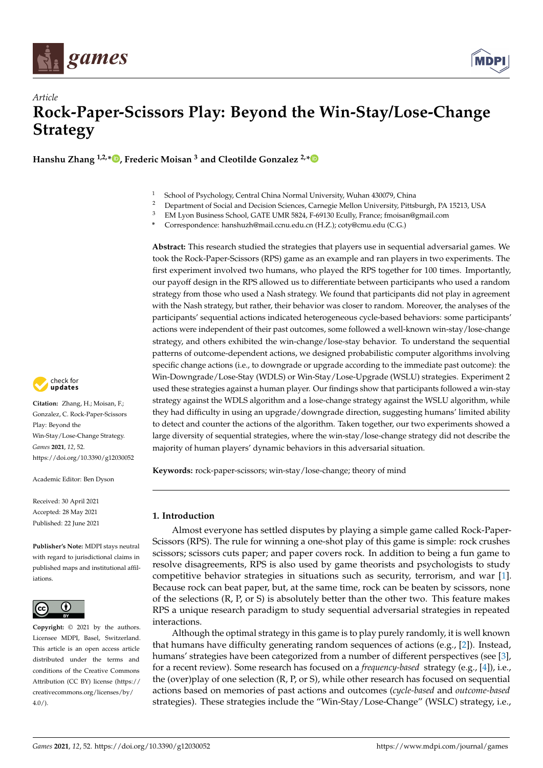



# *Article* **Rock-Paper-Scissors Play: Beyond the Win-Stay/Lose-Change Strategy**

**Hanshu Zhang 1,2,\* [,](https://orcid.org/0000-0002-0273-3254) Frederic Moisan <sup>3</sup> and Cleotilde Gonzalez 2,[\\*](https://orcid.org/0000-0002-6244-2918)**

- <sup>1</sup> School of Psychology, Central China Normal University, Wuhan 430079, China
- <sup>2</sup> Department of Social and Decision Sciences, Carnegie Mellon University, Pittsburgh, PA 15213, USA<br><sup>3</sup> EM Lyon Business School, CATE UMB 5224, E 60120 Faully France fracisco@email.com
- <sup>3</sup> EM Lyon Business School, GATE UMR 5824, F-69130 Ecully, France; fmoisan@gmail.com
- **\*** Correspondence: hanshuzh@mail.ccnu.edu.cn (H.Z.); coty@cmu.edu (C.G.)

**Abstract:** This research studied the strategies that players use in sequential adversarial games. We took the Rock-Paper-Scissors (RPS) game as an example and ran players in two experiments. The first experiment involved two humans, who played the RPS together for 100 times. Importantly, our payoff design in the RPS allowed us to differentiate between participants who used a random strategy from those who used a Nash strategy. We found that participants did not play in agreement with the Nash strategy, but rather, their behavior was closer to random. Moreover, the analyses of the participants' sequential actions indicated heterogeneous cycle-based behaviors: some participants' actions were independent of their past outcomes, some followed a well-known win-stay/lose-change strategy, and others exhibited the win-change/lose-stay behavior. To understand the sequential patterns of outcome-dependent actions, we designed probabilistic computer algorithms involving specific change actions (i.e., to downgrade or upgrade according to the immediate past outcome): the Win-Downgrade/Lose-Stay (WDLS) or Win-Stay/Lose-Upgrade (WSLU) strategies. Experiment 2 used these strategies against a human player. Our findings show that participants followed a win-stay strategy against the WDLS algorithm and a lose-change strategy against the WSLU algorithm, while they had difficulty in using an upgrade/downgrade direction, suggesting humans' limited ability to detect and counter the actions of the algorithm. Taken together, our two experiments showed a large diversity of sequential strategies, where the win-stay/lose-change strategy did not describe the majority of human players' dynamic behaviors in this adversarial situation.

**Keywords:** rock-paper-scissors; win-stay/lose-change; theory of mind

# **1. Introduction**

Almost everyone has settled disputes by playing a simple game called Rock-Paper-Scissors (RPS). The rule for winning a one-shot play of this game is simple: rock crushes scissors; scissors cuts paper; and paper covers rock. In addition to being a fun game to resolve disagreements, RPS is also used by game theorists and psychologists to study competitive behavior strategies in situations such as security, terrorism, and war [\[1\]](#page-15-0). Because rock can beat paper, but, at the same time, rock can be beaten by scissors, none of the selections (R, P, or S) is absolutely better than the other two. This feature makes RPS a unique research paradigm to study sequential adversarial strategies in repeated interactions.

Although the optimal strategy in this game is to play purely randomly, it is well known that humans have difficulty generating random sequences of actions (e.g., [\[2\]](#page-15-1)). Instead, humans' strategies have been categorized from a number of different perspectives (see [\[3\]](#page-15-2), for a recent review). Some research has focused on a *frequency-based* strategy (e.g., [\[4\]](#page-15-3)), i.e., the (over)play of one selection (R, P, or S), while other research has focused on sequential actions based on memories of past actions and outcomes (*cycle-based* and *outcome-based* strategies). These strategies include the "Win-Stay/Lose-Change" (WSLC) strategy, i.e.,



**Citation:** Zhang, H.; Moisan, F.; Gonzalez, C. Rock-Paper-Scissors Play: Beyond the Win-Stay/Lose-Change Strategy. *Games* **2021**, *12*, 52. <https://doi.org/10.3390/g12030052>

Academic Editor: Ben Dyson

Received: 30 April 2021 Accepted: 28 May 2021 Published: 22 June 2021

**Publisher's Note:** MDPI stays neutral with regard to jurisdictional claims in published maps and institutional affiliations.



**Copyright:** © 2021 by the authors. Licensee MDPI, Basel, Switzerland. This article is an open access article distributed under the terms and conditions of the Creative Commons Attribution (CC BY) license (https:/[/](https://creativecommons.org/licenses/by/4.0/) [creativecommons.org/licenses/by/](https://creativecommons.org/licenses/by/4.0/)  $4.0/$ ).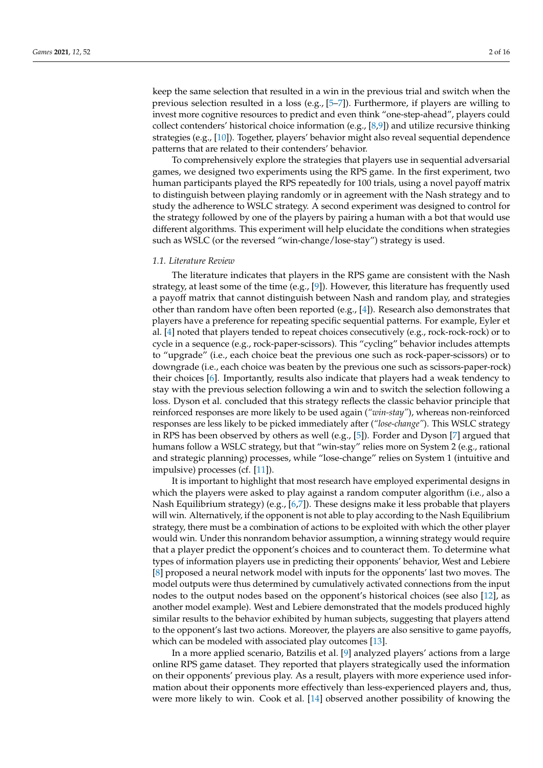keep the same selection that resulted in a win in the previous trial and switch when the previous selection resulted in a loss (e.g.,  $[5-7]$  $[5-7]$ ). Furthermore, if players are willing to invest more cognitive resources to predict and even think "one-step-ahead", players could collect contenders' historical choice information (e.g., [\[8](#page-15-6)[,9\]](#page-15-7)) and utilize recursive thinking strategies (e.g., [\[10\]](#page-15-8)). Together, players' behavior might also reveal sequential dependence patterns that are related to their contenders' behavior.

To comprehensively explore the strategies that players use in sequential adversarial games, we designed two experiments using the RPS game. In the first experiment, two human participants played the RPS repeatedly for 100 trials, using a novel payoff matrix to distinguish between playing randomly or in agreement with the Nash strategy and to study the adherence to WSLC strategy. A second experiment was designed to control for the strategy followed by one of the players by pairing a human with a bot that would use different algorithms. This experiment will help elucidate the conditions when strategies such as WSLC (or the reversed "win-change/lose-stay") strategy is used.

#### *1.1. Literature Review*

The literature indicates that players in the RPS game are consistent with the Nash strategy, at least some of the time (e.g., [\[9\]](#page-15-7)). However, this literature has frequently used a payoff matrix that cannot distinguish between Nash and random play, and strategies other than random have often been reported (e.g., [\[4\]](#page-15-3)). Research also demonstrates that players have a preference for repeating specific sequential patterns. For example, Eyler et al. [\[4\]](#page-15-3) noted that players tended to repeat choices consecutively (e.g., rock-rock-rock) or to cycle in a sequence (e.g., rock-paper-scissors). This "cycling" behavior includes attempts to "upgrade" (i.e., each choice beat the previous one such as rock-paper-scissors) or to downgrade (i.e., each choice was beaten by the previous one such as scissors-paper-rock) their choices [\[6\]](#page-15-9). Importantly, results also indicate that players had a weak tendency to stay with the previous selection following a win and to switch the selection following a loss. Dyson et al. concluded that this strategy reflects the classic behavior principle that reinforced responses are more likely to be used again (*"win-stay"*), whereas non-reinforced responses are less likely to be picked immediately after (*"lose-change"*). This WSLC strategy in RPS has been observed by others as well (e.g., [\[5\]](#page-15-4)). Forder and Dyson [\[7\]](#page-15-5) argued that humans follow a WSLC strategy, but that "win-stay" relies more on System 2 (e.g., rational and strategic planning) processes, while "lose-change" relies on System 1 (intuitive and impulsive) processes (cf. [\[11\]](#page-15-10)).

It is important to highlight that most research have employed experimental designs in which the players were asked to play against a random computer algorithm (i.e., also a Nash Equilibrium strategy) (e.g.,  $[6,7]$  $[6,7]$ ). These designs make it less probable that players will win. Alternatively, if the opponent is not able to play according to the Nash Equilibrium strategy, there must be a combination of actions to be exploited with which the other player would win. Under this nonrandom behavior assumption, a winning strategy would require that a player predict the opponent's choices and to counteract them. To determine what types of information players use in predicting their opponents' behavior, West and Lebiere [\[8\]](#page-15-6) proposed a neural network model with inputs for the opponents' last two moves. The model outputs were thus determined by cumulatively activated connections from the input nodes to the output nodes based on the opponent's historical choices (see also [\[12\]](#page-15-11), as another model example). West and Lebiere demonstrated that the models produced highly similar results to the behavior exhibited by human subjects, suggesting that players attend to the opponent's last two actions. Moreover, the players are also sensitive to game payoffs, which can be modeled with associated play outcomes [\[13\]](#page-15-12).

In a more applied scenario, Batzilis et al. [\[9\]](#page-15-7) analyzed players' actions from a large online RPS game dataset. They reported that players strategically used the information on their opponents' previous play. As a result, players with more experience used information about their opponents more effectively than less-experienced players and, thus, were more likely to win. Cook et al. [\[14\]](#page-15-13) observed another possibility of knowing the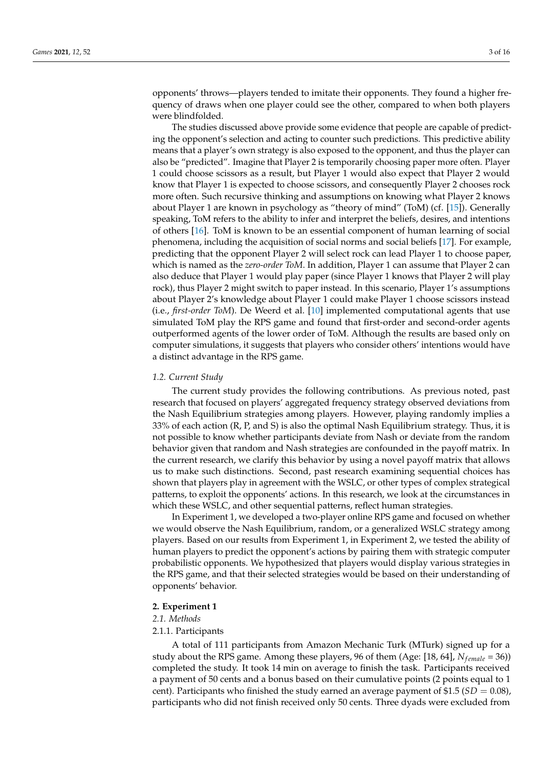opponents' throws—players tended to imitate their opponents. They found a higher frequency of draws when one player could see the other, compared to when both players were blindfolded.

The studies discussed above provide some evidence that people are capable of predicting the opponent's selection and acting to counter such predictions. This predictive ability means that a player's own strategy is also exposed to the opponent, and thus the player can also be "predicted". Imagine that Player 2 is temporarily choosing paper more often. Player 1 could choose scissors as a result, but Player 1 would also expect that Player 2 would know that Player 1 is expected to choose scissors, and consequently Player 2 chooses rock more often. Such recursive thinking and assumptions on knowing what Player 2 knows about Player 1 are known in psychology as "theory of mind" (ToM) (cf. [\[15\]](#page-15-14)). Generally speaking, ToM refers to the ability to infer and interpret the beliefs, desires, and intentions of others [\[16\]](#page-15-15). ToM is known to be an essential component of human learning of social phenomena, including the acquisition of social norms and social beliefs [\[17\]](#page-15-16). For example, predicting that the opponent Player 2 will select rock can lead Player 1 to choose paper, which is named as the *zero-order ToM*. In addition, Player 1 can assume that Player 2 can also deduce that Player 1 would play paper (since Player 1 knows that Player 2 will play rock), thus Player 2 might switch to paper instead. In this scenario, Player 1's assumptions about Player 2's knowledge about Player 1 could make Player 1 choose scissors instead (i.e., *first-order ToM*). De Weerd et al. [\[10\]](#page-15-8) implemented computational agents that use simulated ToM play the RPS game and found that first-order and second-order agents outperformed agents of the lower order of ToM. Although the results are based only on computer simulations, it suggests that players who consider others' intentions would have a distinct advantage in the RPS game.

## *1.2. Current Study*

The current study provides the following contributions. As previous noted, past research that focused on players' aggregated frequency strategy observed deviations from the Nash Equilibrium strategies among players. However, playing randomly implies a 33% of each action (R, P, and S) is also the optimal Nash Equilibrium strategy. Thus, it is not possible to know whether participants deviate from Nash or deviate from the random behavior given that random and Nash strategies are confounded in the payoff matrix. In the current research, we clarify this behavior by using a novel payoff matrix that allows us to make such distinctions. Second, past research examining sequential choices has shown that players play in agreement with the WSLC, or other types of complex strategical patterns, to exploit the opponents' actions. In this research, we look at the circumstances in which these WSLC, and other sequential patterns, reflect human strategies.

In Experiment 1, we developed a two-player online RPS game and focused on whether we would observe the Nash Equilibrium, random, or a generalized WSLC strategy among players. Based on our results from Experiment 1, in Experiment 2, we tested the ability of human players to predict the opponent's actions by pairing them with strategic computer probabilistic opponents. We hypothesized that players would display various strategies in the RPS game, and that their selected strategies would be based on their understanding of opponents' behavior.

# **2. Experiment 1**

# *2.1. Methods*

### 2.1.1. Participants

A total of 111 participants from Amazon Mechanic Turk (MTurk) signed up for a study about the RPS game. Among these players, 96 of them (Age: [18, 64],  $N_{female} = 36$ )) completed the study. It took 14 min on average to finish the task. Participants received a payment of 50 cents and a bonus based on their cumulative points (2 points equal to 1 cent). Participants who finished the study earned an average payment of  $$1.5$  (*SD* = 0.08), participants who did not finish received only 50 cents. Three dyads were excluded from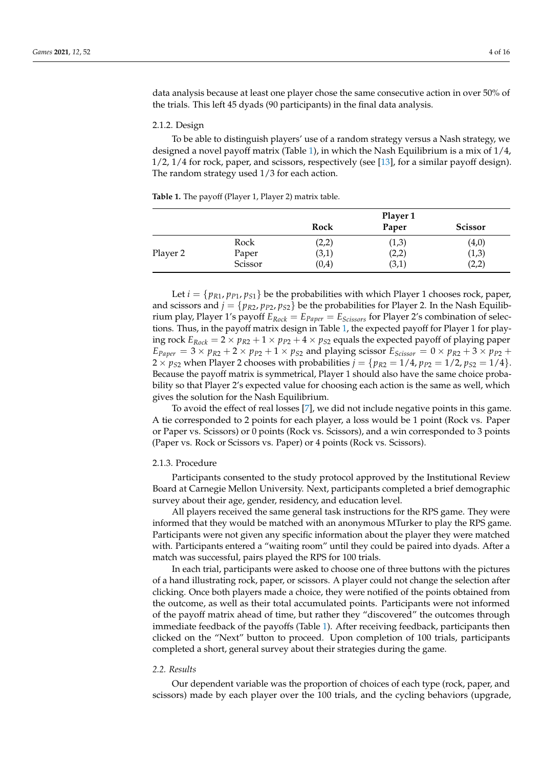data analysis because at least one player chose the same consecutive action in over 50% of the trials. This left 45 dyads (90 participants) in the final data analysis.

## 2.1.2. Design

To be able to distinguish players' use of a random strategy versus a Nash strategy, we designed a novel payoff matrix (Table [1\)](#page-3-0), in which the Nash Equilibrium is a mix of  $1/4$ , 1/2, 1/4 for rock, paper, and scissors, respectively (see [\[13\]](#page-15-12), for a similar payoff design). The random strategy used 1/3 for each action.

<span id="page-3-0"></span>**Table 1.** The payoff (Player 1, Player 2) matrix table.

|          |         | Player 1 |       |                |  |
|----------|---------|----------|-------|----------------|--|
|          |         | Rock     | Paper | <b>Scissor</b> |  |
|          | Rock    | (2,2)    | (1,3) | (4,0)          |  |
| Player 2 | Paper   | (3,1)    | (2,2) | (1,3)          |  |
|          | Scissor | (0,4)    | (3,1) | (2,2)          |  |

Let  $i = \{p_{R1}, p_{P1}, p_{S1}\}\$ be the probabilities with which Player 1 chooses rock, paper, and scissors and  $j = \{p_{R2}, p_{P2}, p_{S2}\}\$ be the probabilities for Player 2. In the Nash Equilibrium play, Player 1's payoff  $E_{Rock} = E_{Paper} = E_{Scissors}$  for Player 2's combination of selections. Thus, in the payoff matrix design in Table [1,](#page-3-0) the expected payoff for Player 1 for playing rock  $E_{Rock} = 2 \times p_{R2} + 1 \times p_{P2} + 4 \times p_{S2}$  equals the expected payoff of playing paper  $E_{Paper}$  = 3 ×  $p_{R2}$  + 2 ×  $p_{P2}$  + 1 ×  $p_{S2}$  and playing scissor  $E_{Scissor}$  = 0 ×  $p_{R2}$  + 3 ×  $p_{P2}$  +  $2 \times p_{52}$  when Player 2 chooses with probabilities  $j = \{p_{R2} = 1/4, p_{P2} = 1/2, p_{52} = 1/4\}.$ Because the payoff matrix is symmetrical, Player 1 should also have the same choice probability so that Player 2's expected value for choosing each action is the same as well, which gives the solution for the Nash Equilibrium.

To avoid the effect of real losses [\[7\]](#page-15-5), we did not include negative points in this game. A tie corresponded to 2 points for each player, a loss would be 1 point (Rock vs. Paper or Paper vs. Scissors) or 0 points (Rock vs. Scissors), and a win corresponded to 3 points (Paper vs. Rock or Scissors vs. Paper) or 4 points (Rock vs. Scissors).

# 2.1.3. Procedure

Participants consented to the study protocol approved by the Institutional Review Board at Carnegie Mellon University. Next, participants completed a brief demographic survey about their age, gender, residency, and education level.

All players received the same general task instructions for the RPS game. They were informed that they would be matched with an anonymous MTurker to play the RPS game. Participants were not given any specific information about the player they were matched with. Participants entered a "waiting room" until they could be paired into dyads. After a match was successful, pairs played the RPS for 100 trials.

In each trial, participants were asked to choose one of three buttons with the pictures of a hand illustrating rock, paper, or scissors. A player could not change the selection after clicking. Once both players made a choice, they were notified of the points obtained from the outcome, as well as their total accumulated points. Participants were not informed of the payoff matrix ahead of time, but rather they "discovered" the outcomes through immediate feedback of the payoffs (Table [1\)](#page-3-0). After receiving feedback, participants then clicked on the "Next" button to proceed. Upon completion of 100 trials, participants completed a short, general survey about their strategies during the game.

#### *2.2. Results*

Our dependent variable was the proportion of choices of each type (rock, paper, and scissors) made by each player over the 100 trials, and the cycling behaviors (upgrade,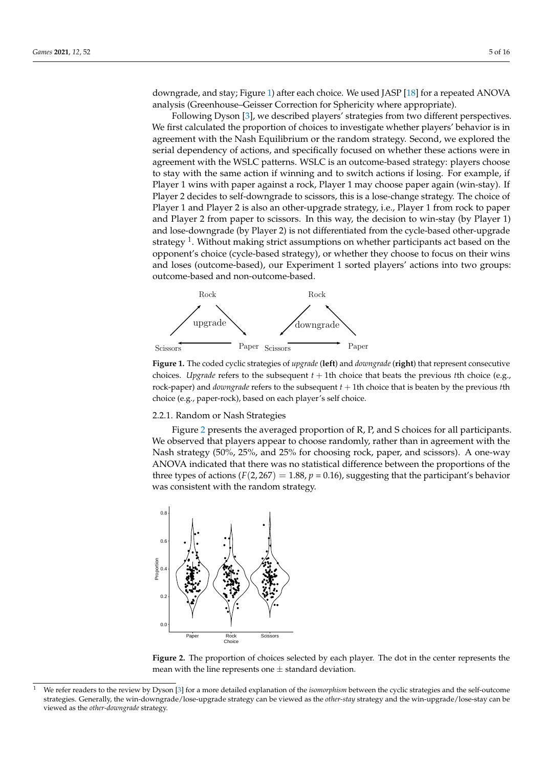downgrade, and stay; Figure [1\)](#page-4-0) after each choice. We used JASP [\[18\]](#page-15-17) for a repeated ANOVA analysis (Greenhouse–Geisser Correction for Sphericity where appropriate).

Following Dyson [\[3\]](#page-15-2), we described players' strategies from two different perspectives. We first calculated the proportion of choices to investigate whether players' behavior is in agreement with the Nash Equilibrium or the random strategy. Second, we explored the serial dependency of actions, and specifically focused on whether these actions were in agreement with the WSLC patterns. WSLC is an outcome-based strategy: players choose to stay with the same action if winning and to switch actions if losing. For example, if Player 1 wins with paper against a rock, Player 1 may choose paper again (win-stay). If Player 2 decides to self-downgrade to scissors, this is a lose-change strategy. The choice of Player 1 and Player 2 is also an other-upgrade strategy, i.e., Player 1 from rock to paper and Player 2 from paper to scissors. In this way, the decision to win-stay (by Player 1) and lose-downgrade (by Player 2) is not differentiated from the cycle-based other-upgrade strategy  $^{1}$ . Without making strict assumptions on whether participants act based on the opponent's choice (cycle-based strategy), or whether they choose to focus on their wins and loses (outcome-based), our Experiment 1 sorted players' actions into two groups: outcome-based and non-outcome-based.

<span id="page-4-0"></span>

**Figure 1.** The coded cyclic strategies of *upgrade* (**left**) and *downgrade* (**right**) that represent consecutive choices. *Upgrade* refers to the subsequent *t* + 1th choice that beats the previous *t*th choice (e.g., rock-paper) and *downgrade* refers to the subsequent *t* + 1th choice that is beaten by the previous *t*th choice (e.g., paper-rock), based on each player's self choice.

#### 2.2.1. Random or Nash Strategies

Figure [2](#page-4-1) presents the averaged proportion of R, P, and S choices for all participants. We observed that players appear to choose randomly, rather than in agreement with the Nash strategy (50%, 25%, and 25% for choosing rock, paper, and scissors). A one-way ANOVA indicated that there was no statistical difference between the proportions of the three types of actions  $(F(2, 267) = 1.88, p = 0.16)$ , suggesting that the participant's behavior was consistent with the random strategy.

<span id="page-4-1"></span>

**Figure 2.** The proportion of choices selected by each player. The dot in the center represents the mean with the line represents one  $\pm$  standard deviation.

<sup>1</sup> We refer readers to the review by Dyson [\[3\]](#page-15-2) for a more detailed explanation of the *isomorphism* between the cyclic strategies and the self-outcome strategies. Generally, the win-downgrade/lose-upgrade strategy can be viewed as the *other-stay* strategy and the win-upgrade/lose-stay can be viewed as the *other-downgrade* strategy.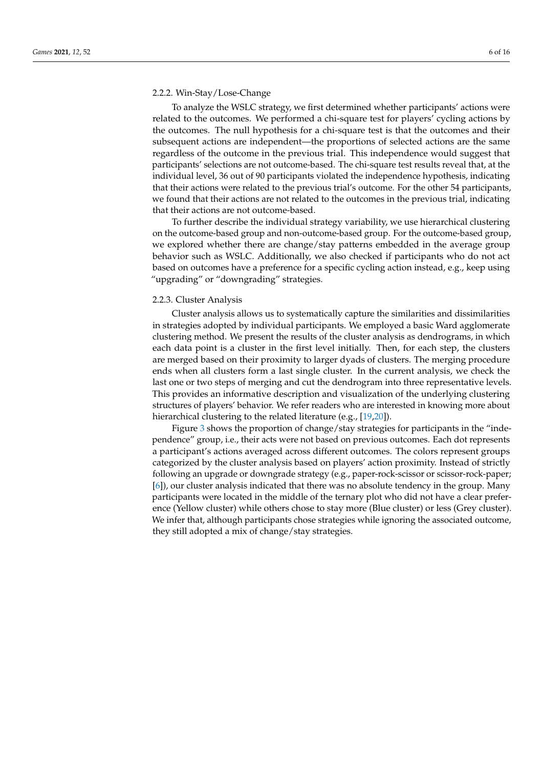## 2.2.2. Win-Stay/Lose-Change

To analyze the WSLC strategy, we first determined whether participants' actions were related to the outcomes. We performed a chi-square test for players' cycling actions by the outcomes. The null hypothesis for a chi-square test is that the outcomes and their subsequent actions are independent—the proportions of selected actions are the same regardless of the outcome in the previous trial. This independence would suggest that participants' selections are not outcome-based. The chi-square test results reveal that, at the individual level, 36 out of 90 participants violated the independence hypothesis, indicating that their actions were related to the previous trial's outcome. For the other 54 participants, we found that their actions are not related to the outcomes in the previous trial, indicating that their actions are not outcome-based.

To further describe the individual strategy variability, we use hierarchical clustering on the outcome-based group and non-outcome-based group. For the outcome-based group, we explored whether there are change/stay patterns embedded in the average group behavior such as WSLC. Additionally, we also checked if participants who do not act based on outcomes have a preference for a specific cycling action instead, e.g., keep using "upgrading" or "downgrading" strategies.

#### 2.2.3. Cluster Analysis

Cluster analysis allows us to systematically capture the similarities and dissimilarities in strategies adopted by individual participants. We employed a basic Ward agglomerate clustering method. We present the results of the cluster analysis as dendrograms, in which each data point is a cluster in the first level initially. Then, for each step, the clusters are merged based on their proximity to larger dyads of clusters. The merging procedure ends when all clusters form a last single cluster. In the current analysis, we check the last one or two steps of merging and cut the dendrogram into three representative levels. This provides an informative description and visualization of the underlying clustering structures of players' behavior. We refer readers who are interested in knowing more about hierarchical clustering to the related literature (e.g., [\[19](#page-15-18)[,20\]](#page-15-19)).

Figure [3](#page-6-0) shows the proportion of change/stay strategies for participants in the "independence" group, i.e., their acts were not based on previous outcomes. Each dot represents a participant's actions averaged across different outcomes. The colors represent groups categorized by the cluster analysis based on players' action proximity. Instead of strictly following an upgrade or downgrade strategy (e.g., paper-rock-scissor or scissor-rock-paper; [\[6\]](#page-15-9)), our cluster analysis indicated that there was no absolute tendency in the group. Many participants were located in the middle of the ternary plot who did not have a clear preference (Yellow cluster) while others chose to stay more (Blue cluster) or less (Grey cluster). We infer that, although participants chose strategies while ignoring the associated outcome, they still adopted a mix of change/stay strategies.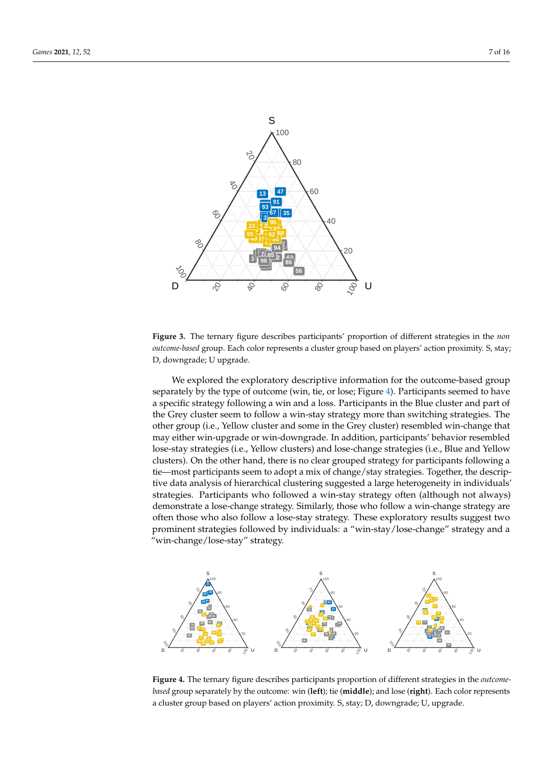<span id="page-6-0"></span>

**Figure 3.** The ternary figure describes participants' proportion of different strategies in the *non outcome-based* group. Each color represents a cluster group based on players' action proximity. S, stay; D, downgrade; U upgrade.

We explored the exploratory descriptive information for the outcome-based group separately by the type of outcome (win, tie, or lose; Figure [4\)](#page-6-1). Participants seemed to have a specific strategy following a win and a loss. Participants in the Blue cluster and part of the Grey cluster seem to follow a win-stay strategy more than switching strategies. The other group (i.e., Yellow cluster and some in the Grey cluster) resembled win-change that may either win-upgrade or win-downgrade. In addition, participants' behavior resembled lose-stay strategies (i.e., Yellow clusters) and lose-change strategies (i.e., Blue and Yellow clusters). On the other hand, there is no clear grouped strategy for participants following a tie—most participants seem to adopt a mix of change/stay strategies. Together, the descriptive data analysis of hierarchical clustering suggested a large heterogeneity in individuals' strategies. Participants who followed a win-stay strategy often (although not always) demonstrate a lose-change strategy. Similarly, those who follow a win-change strategy are often those who also follow a lose-stay strategy. These exploratory results suggest two prominent strategies followed by individuals: a "win-stay/lose-change" strategy and a "win-change/lose-stay" strategy.

<span id="page-6-1"></span>

**Figure 4.** The ternary figure describes participants proportion of different strategies in the *outcomebased* group separately by the outcome: win (**left**); tie (**middle**); and lose (**right**). Each color represents a cluster group based on players' action proximity. S, stay; D, downgrade; U, upgrade.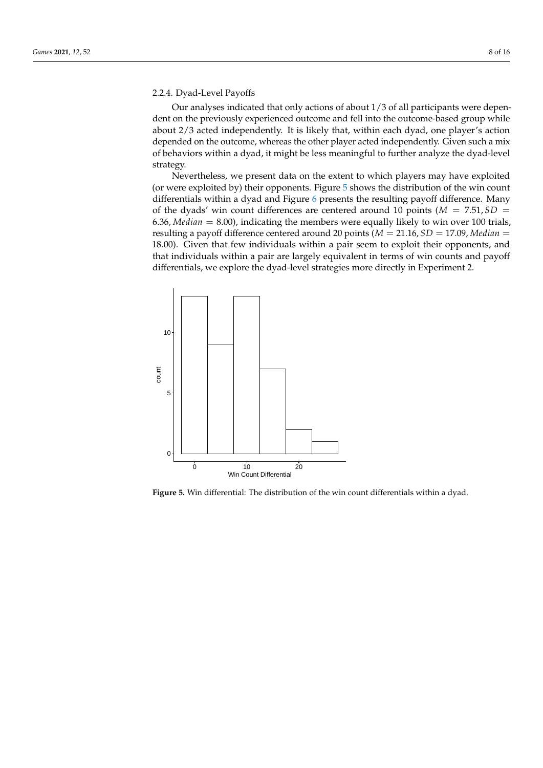# 2.2.4. Dyad-Level Payoffs

Our analyses indicated that only actions of about 1/3 of all participants were dependent on the previously experienced outcome and fell into the outcome-based group while about 2/3 acted independently. It is likely that, within each dyad, one player's action depended on the outcome, whereas the other player acted independently. Given such a mix of behaviors within a dyad, it might be less meaningful to further analyze the dyad-level strategy.

Nevertheless, we present data on the extent to which players may have exploited (or were exploited by) their opponents. Figure [5](#page-7-0) shows the distribution of the win count differentials within a dyad and Figure [6](#page-8-0) presents the resulting payoff difference. Many of the dyads' win count differences are centered around 10 points ( $M = 7.51, SD =$ 6.36, *Median* = 8.00), indicating the members were equally likely to win over 100 trials, resulting a payoff difference centered around 20 points (*M* = 21.16, *SD* = 17.09, *Median* = 18.00). Given that few individuals within a pair seem to exploit their opponents, and that individuals within a pair are largely equivalent in terms of win counts and payoff differentials, we explore the dyad-level strategies more directly in Experiment 2.

<span id="page-7-0"></span>

**Figure 5.** Win differential: The distribution of the win count differentials within a dyad.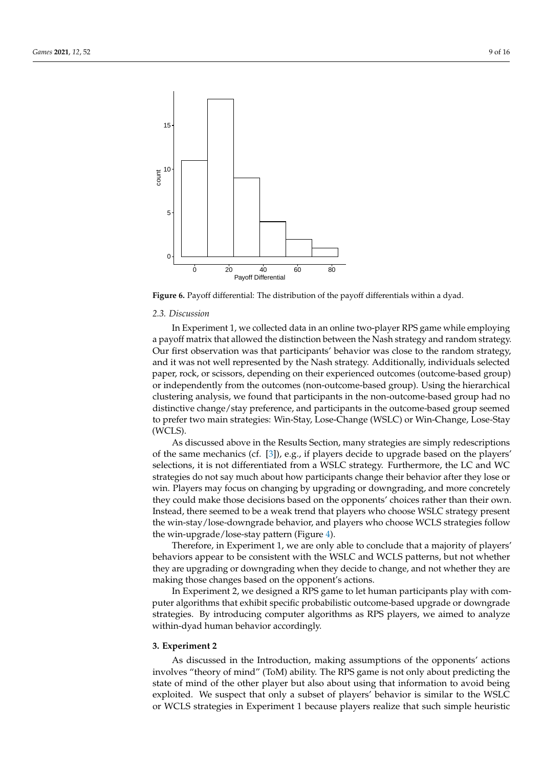<span id="page-8-0"></span>

**Figure 6.** Payoff differential: The distribution of the payoff differentials within a dyad.

#### *2.3. Discussion*

In Experiment 1, we collected data in an online two-player RPS game while employing a payoff matrix that allowed the distinction between the Nash strategy and random strategy. Our first observation was that participants' behavior was close to the random strategy, and it was not well represented by the Nash strategy. Additionally, individuals selected paper, rock, or scissors, depending on their experienced outcomes (outcome-based group) or independently from the outcomes (non-outcome-based group). Using the hierarchical clustering analysis, we found that participants in the non-outcome-based group had no distinctive change/stay preference, and participants in the outcome-based group seemed to prefer two main strategies: Win-Stay, Lose-Change (WSLC) or Win-Change, Lose-Stay (WCLS).

As discussed above in the Results Section, many strategies are simply redescriptions of the same mechanics (cf. [\[3\]](#page-15-2)), e.g., if players decide to upgrade based on the players' selections, it is not differentiated from a WSLC strategy. Furthermore, the LC and WC strategies do not say much about how participants change their behavior after they lose or win. Players may focus on changing by upgrading or downgrading, and more concretely they could make those decisions based on the opponents' choices rather than their own. Instead, there seemed to be a weak trend that players who choose WSLC strategy present the win-stay/lose-downgrade behavior, and players who choose WCLS strategies follow the win-upgrade/lose-stay pattern (Figure [4\)](#page-6-1).

Therefore, in Experiment 1, we are only able to conclude that a majority of players' behaviors appear to be consistent with the WSLC and WCLS patterns, but not whether they are upgrading or downgrading when they decide to change, and not whether they are making those changes based on the opponent's actions.

In Experiment 2, we designed a RPS game to let human participants play with computer algorithms that exhibit specific probabilistic outcome-based upgrade or downgrade strategies. By introducing computer algorithms as RPS players, we aimed to analyze within-dyad human behavior accordingly.

#### **3. Experiment 2**

As discussed in the Introduction, making assumptions of the opponents' actions involves "theory of mind" (ToM) ability. The RPS game is not only about predicting the state of mind of the other player but also about using that information to avoid being exploited. We suspect that only a subset of players' behavior is similar to the WSLC or WCLS strategies in Experiment 1 because players realize that such simple heuristic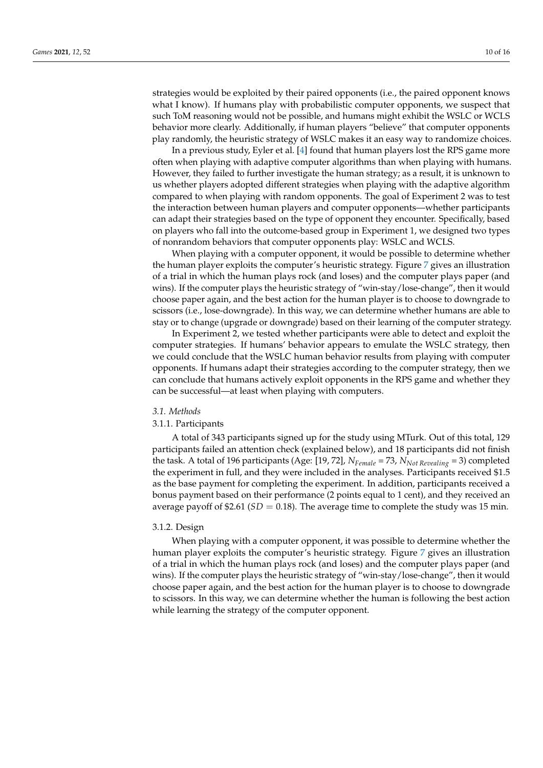strategies would be exploited by their paired opponents (i.e., the paired opponent knows what I know). If humans play with probabilistic computer opponents, we suspect that such ToM reasoning would not be possible, and humans might exhibit the WSLC or WCLS behavior more clearly. Additionally, if human players "believe" that computer opponents play randomly, the heuristic strategy of WSLC makes it an easy way to randomize choices.

In a previous study, Eyler et al. [\[4\]](#page-15-3) found that human players lost the RPS game more often when playing with adaptive computer algorithms than when playing with humans. However, they failed to further investigate the human strategy; as a result, it is unknown to us whether players adopted different strategies when playing with the adaptive algorithm compared to when playing with random opponents. The goal of Experiment 2 was to test the interaction between human players and computer opponents—whether participants can adapt their strategies based on the type of opponent they encounter. Specifically, based on players who fall into the outcome-based group in Experiment 1, we designed two types of nonrandom behaviors that computer opponents play: WSLC and WCLS.

When playing with a computer opponent, it would be possible to determine whether the human player exploits the computer's heuristic strategy. Figure [7](#page-10-0) gives an illustration of a trial in which the human plays rock (and loses) and the computer plays paper (and wins). If the computer plays the heuristic strategy of "win-stay/lose-change", then it would choose paper again, and the best action for the human player is to choose to downgrade to scissors (i.e., lose-downgrade). In this way, we can determine whether humans are able to stay or to change (upgrade or downgrade) based on their learning of the computer strategy.

In Experiment 2, we tested whether participants were able to detect and exploit the computer strategies. If humans' behavior appears to emulate the WSLC strategy, then we could conclude that the WSLC human behavior results from playing with computer opponents. If humans adapt their strategies according to the computer strategy, then we can conclude that humans actively exploit opponents in the RPS game and whether they can be successful—at least when playing with computers.

#### *3.1. Methods*

# 3.1.1. Participants

A total of 343 participants signed up for the study using MTurk. Out of this total, 129 participants failed an attention check (explained below), and 18 participants did not finish the task. A total of 196 participants (Age: [19, 72], *NFemale* = 73, *NNot Revealing* = 3) completed the experiment in full, and they were included in the analyses. Participants received \$1.5 as the base payment for completing the experiment. In addition, participants received a bonus payment based on their performance (2 points equal to 1 cent), and they received an average payoff of \$2.61 ( $SD = 0.18$ ). The average time to complete the study was 15 min.

#### 3.1.2. Design

When playing with a computer opponent, it was possible to determine whether the human player exploits the computer's heuristic strategy. Figure [7](#page-10-0) gives an illustration of a trial in which the human plays rock (and loses) and the computer plays paper (and wins). If the computer plays the heuristic strategy of "win-stay/lose-change", then it would choose paper again, and the best action for the human player is to choose to downgrade to scissors. In this way, we can determine whether the human is following the best action while learning the strategy of the computer opponent.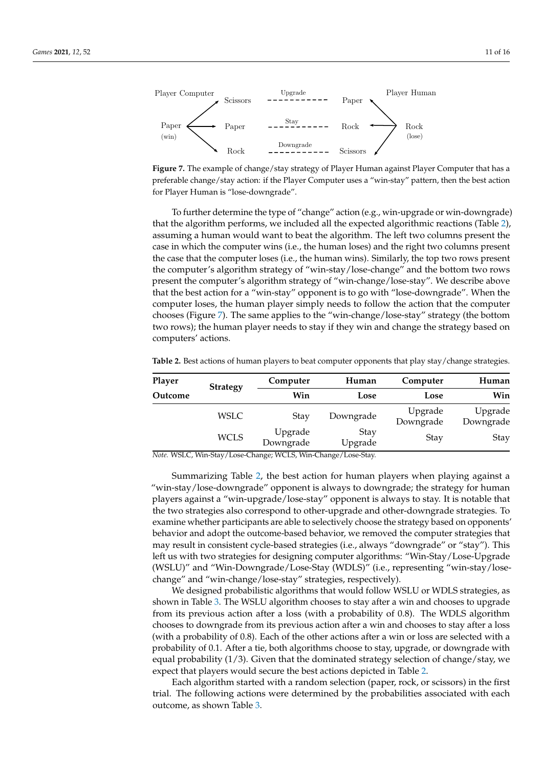<span id="page-10-0"></span>

**Figure 7.** The example of change/stay strategy of Player Human against Player Computer that has a preferable change/stay action: if the Player Computer uses a "win-stay" pattern, then the best action for Player Human is "lose-downgrade".

To further determine the type of "change" action (e.g., win-upgrade or win-downgrade) that the algorithm performs, we included all the expected algorithmic reactions (Table [2\)](#page-10-1), assuming a human would want to beat the algorithm. The left two columns present the case in which the computer wins (i.e., the human loses) and the right two columns present the case that the computer loses (i.e., the human wins). Similarly, the top two rows present the computer's algorithm strategy of "win-stay/lose-change" and the bottom two rows present the computer's algorithm strategy of "win-change/lose-stay". We describe above that the best action for a "win-stay" opponent is to go with "lose-downgrade". When the computer loses, the human player simply needs to follow the action that the computer chooses (Figure [7\)](#page-10-0). The same applies to the "win-change/lose-stay" strategy (the bottom two rows); the human player needs to stay if they win and change the strategy based on computers' actions.

**Player Strategy Computer Human Computer Human Outcome Win Lose Lose Win** WSLC Stay Downgrade Upgrade Upgrade Downgrade Downgrade WCLS Upgrade Stay Stay<br>Downgrade Upgrade Stay Stay

<span id="page-10-1"></span>**Table 2.** Best actions of human players to beat computer opponents that play stay/change strategies.

*Note.* WSLC, Win-Stay/Lose-Change; WCLS, Win-Change/Lose-Stay.

Summarizing Table [2,](#page-10-1) the best action for human players when playing against a "win-stay/lose-downgrade" opponent is always to downgrade; the strategy for human players against a "win-upgrade/lose-stay" opponent is always to stay. It is notable that the two strategies also correspond to other-upgrade and other-downgrade strategies. To examine whether participants are able to selectively choose the strategy based on opponents' behavior and adopt the outcome-based behavior, we removed the computer strategies that may result in consistent cycle-based strategies (i.e., always "downgrade" or "stay"). This left us with two strategies for designing computer algorithms: "Win-Stay/Lose-Upgrade (WSLU)" and "Win-Downgrade/Lose-Stay (WDLS)" (i.e., representing "win-stay/losechange" and "win-change/lose-stay" strategies, respectively).

We designed probabilistic algorithms that would follow WSLU or WDLS strategies, as shown in Table [3.](#page-11-0) The WSLU algorithm chooses to stay after a win and chooses to upgrade from its previous action after a loss (with a probability of 0.8). The WDLS algorithm chooses to downgrade from its previous action after a win and chooses to stay after a loss (with a probability of 0.8). Each of the other actions after a win or loss are selected with a probability of 0.1. After a tie, both algorithms choose to stay, upgrade, or downgrade with equal probability  $(1/3)$ . Given that the dominated strategy selection of change/stay, we expect that players would secure the best actions depicted in Table [2.](#page-10-1)

Each algorithm started with a random selection (paper, rock, or scissors) in the first trial. The following actions were determined by the probabilities associated with each outcome, as shown Table [3.](#page-11-0)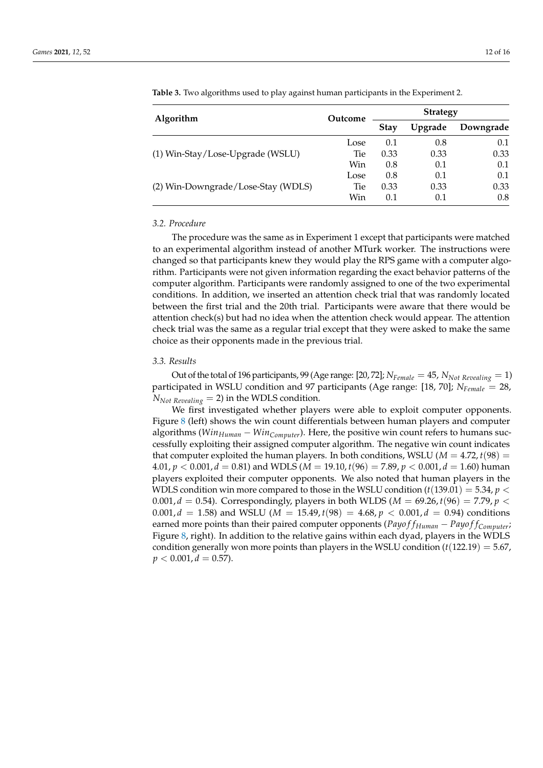| Algorithm                          | Outcome | <b>Strategy</b> |         |           |
|------------------------------------|---------|-----------------|---------|-----------|
|                                    |         | <b>Stay</b>     | Upgrade | Downgrade |
|                                    | Lose    | 0.1             | 0.8     | 0.1       |
| (1) Win-Stay/Lose-Upgrade (WSLU)   | Tie     | 0.33            | 0.33    | 0.33      |
|                                    | Win     | 0.8             | 0.1     | 0.1       |
|                                    | Lose    | 0.8             | 0.1     | 0.1       |
| (2) Win-Downgrade/Lose-Stay (WDLS) | Tie:    | 0.33            | 0.33    | 0.33      |
|                                    | Win     | 0.1             | 0.1     | 0.8       |

<span id="page-11-0"></span>**Table 3.** Two algorithms used to play against human participants in the Experiment 2.

## *3.2. Procedure*

The procedure was the same as in Experiment 1 except that participants were matched to an experimental algorithm instead of another MTurk worker. The instructions were changed so that participants knew they would play the RPS game with a computer algorithm. Participants were not given information regarding the exact behavior patterns of the computer algorithm. Participants were randomly assigned to one of the two experimental conditions. In addition, we inserted an attention check trial that was randomly located between the first trial and the 20th trial. Participants were aware that there would be attention check(s) but had no idea when the attention check would appear. The attention check trial was the same as a regular trial except that they were asked to make the same choice as their opponents made in the previous trial.

#### *3.3. Results*

Out of the total of 196 participants, 99 (Age range: [20, 72];  $N_{Female} = 45$ ,  $N_{Not\ Revealing} = 1$ ) participated in WSLU condition and 97 participants (Age range: [18, 70]; *NFemale* = 28,  $N_{Not\ Revealing}$  = 2) in the WDLS condition.

We first investigated whether players were able to exploit computer opponents. Figure [8](#page-12-0) (left) shows the win count differentials between human players and computer algorithms (*WinHuman* − *WinComputer*). Here, the positive win count refers to humans successfully exploiting their assigned computer algorithm. The negative win count indicates that computer exploited the human players. In both conditions, WSLU ( $M = 4.72$ ,  $t(98) =$ 4.01,  $p < 0.001$ ,  $d = 0.81$ ) and WDLS ( $M = 19.10$ ,  $t(96) = 7.89$ ,  $p < 0.001$ ,  $d = 1.60$ ) human players exploited their computer opponents. We also noted that human players in the WDLS condition win more compared to those in the WSLU condition  $(t(139.01) = 5.34, p <$ 0.001,  $d = 0.54$ ). Correspondingly, players in both WLDS ( $M = 69.26$ ,  $t(96) = 7.79$ ,  $p <$  $0.001, d = 1.58$ ) and WSLU ( $M = 15.49, t(98) = 4.68, p < 0.001, d = 0.94$ ) conditions earned more points than their paired computer opponents (*Payo f fHuman* − *Payo f fComputer*; Figure [8,](#page-12-0) right). In addition to the relative gains within each dyad, players in the WDLS condition generally won more points than players in the WSLU condition  $(t(122.19) = 5.67$ ,  $p < 0.001, d = 0.57$ ).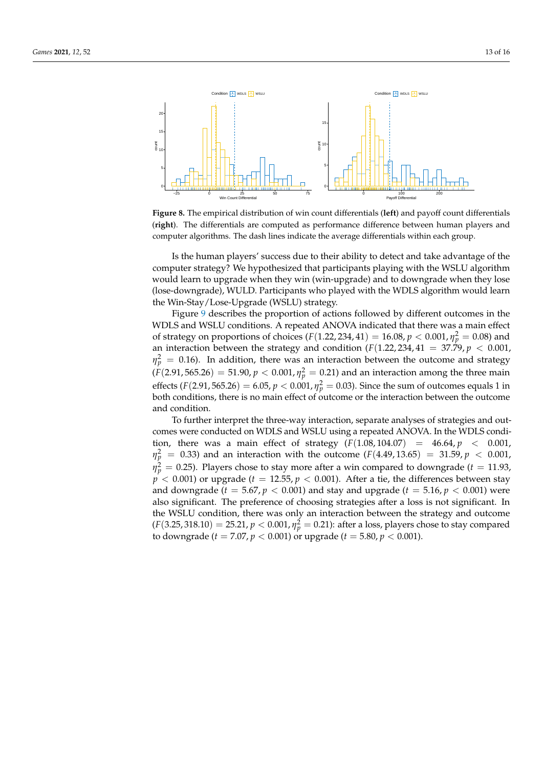<span id="page-12-0"></span>

**Figure 8.** The empirical distribution of win count differentials (**left**) and payoff count differentials (**right**). The differentials are computed as performance difference between human players and computer algorithms. The dash lines indicate the average differentials within each group.

Is the human players' success due to their ability to detect and take advantage of the computer strategy? We hypothesized that participants playing with the WSLU algorithm would learn to upgrade when they win (win-upgrade) and to downgrade when they lose (lose-downgrade), WULD. Participants who played with the WDLS algorithm would learn the Win-Stay/Lose-Upgrade (WSLU) strategy.

Figure [9](#page-13-0) describes the proportion of actions followed by different outcomes in the WDLS and WSLU conditions. A repeated ANOVA indicated that there was a main effect of strategy on proportions of choices  $(F(1.22, 234, 41) = 16.08, p < 0.001, \eta_p^2 = 0.08)$  and an interaction between the strategy and condition  $(F(1.22, 234, 41 = 37.79, p < 0.001,$  $\eta_p^2 = 0.16$ ). In addition, there was an interaction between the outcome and strategy  $(F(2.91, 565.26) = 51.90, p < 0.001, \eta_p^2 = 0.21)$  and an interaction among the three main effects (*F*(2.91, 565.26) = 6.05,  $p < 0.001$ ,  $\eta_p^2 = 0.03$ ). Since the sum of outcomes equals 1 in both conditions, there is no main effect of outcome or the interaction between the outcome and condition.

To further interpret the three-way interaction, separate analyses of strategies and outcomes were conducted on WDLS and WSLU using a repeated ANOVA. In the WDLS condition, there was a main effect of strategy  $(F(1.08, 104.07) = 46.64, p < 0.001$ ,  $\eta_p^2$  = 0.33) and an interaction with the outcome (*F*(4.49, 13.65) = 31.59, *p* < 0.001,  $\eta_p^2 = 0.25$ ). Players chose to stay more after a win compared to downgrade (*t* = 11.93,  $p'$  < 0.001) or upgrade ( $t = 12.55$ ,  $p$  < 0.001). After a tie, the differences between stay and downgrade ( $t = 5.67, p < 0.001$ ) and stay and upgrade ( $t = 5.16, p < 0.001$ ) were also significant. The preference of choosing strategies after a loss is not significant. In the WSLU condition, there was only an interaction between the strategy and outcome  $(F(3.25, 318.10) = 25.21, p < 0.001, \eta_p^2 = 0.21$ ): after a loss, players chose to stay compared to downgrade (*t* = 7.07, *p* < 0.001) or upgrade (*t* = 5.80, *p* < 0.001).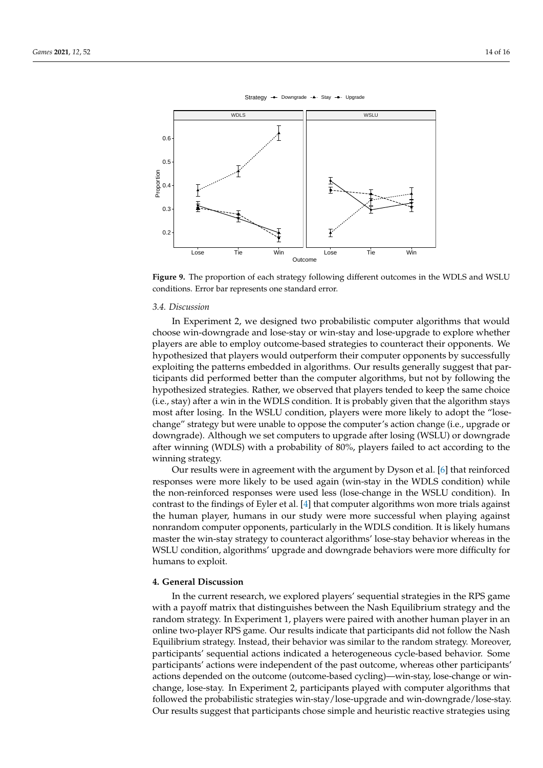<span id="page-13-0"></span>

Strategy  $\rightarrow$  Downgrade  $\rightarrow$  Stay  $\rightarrow$  Upgrade

**Figure 9.** The proportion of each strategy following different outcomes in the WDLS and WSLU conditions. Error bar represents one standard error.

# *3.4. Discussion*

In Experiment 2, we designed two probabilistic computer algorithms that would choose win-downgrade and lose-stay or win-stay and lose-upgrade to explore whether players are able to employ outcome-based strategies to counteract their opponents. We hypothesized that players would outperform their computer opponents by successfully exploiting the patterns embedded in algorithms. Our results generally suggest that participants did performed better than the computer algorithms, but not by following the hypothesized strategies. Rather, we observed that players tended to keep the same choice (i.e., stay) after a win in the WDLS condition. It is probably given that the algorithm stays most after losing. In the WSLU condition, players were more likely to adopt the "losechange" strategy but were unable to oppose the computer's action change (i.e., upgrade or downgrade). Although we set computers to upgrade after losing (WSLU) or downgrade after winning (WDLS) with a probability of 80%, players failed to act according to the winning strategy.

Our results were in agreement with the argument by Dyson et al. [\[6\]](#page-15-9) that reinforced responses were more likely to be used again (win-stay in the WDLS condition) while the non-reinforced responses were used less (lose-change in the WSLU condition). In contrast to the findings of Eyler et al. [\[4\]](#page-15-3) that computer algorithms won more trials against the human player, humans in our study were more successful when playing against nonrandom computer opponents, particularly in the WDLS condition. It is likely humans master the win-stay strategy to counteract algorithms' lose-stay behavior whereas in the WSLU condition, algorithms' upgrade and downgrade behaviors were more difficulty for humans to exploit.

# **4. General Discussion**

In the current research, we explored players' sequential strategies in the RPS game with a payoff matrix that distinguishes between the Nash Equilibrium strategy and the random strategy. In Experiment 1, players were paired with another human player in an online two-player RPS game. Our results indicate that participants did not follow the Nash Equilibrium strategy. Instead, their behavior was similar to the random strategy. Moreover, participants' sequential actions indicated a heterogeneous cycle-based behavior. Some participants' actions were independent of the past outcome, whereas other participants' actions depended on the outcome (outcome-based cycling)—win-stay, lose-change or winchange, lose-stay. In Experiment 2, participants played with computer algorithms that followed the probabilistic strategies win-stay/lose-upgrade and win-downgrade/lose-stay. Our results suggest that participants chose simple and heuristic reactive strategies using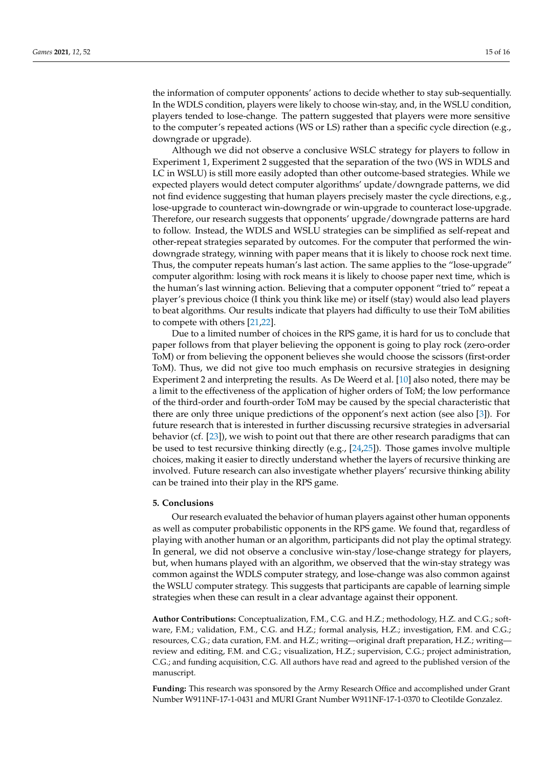the information of computer opponents' actions to decide whether to stay sub-sequentially. In the WDLS condition, players were likely to choose win-stay, and, in the WSLU condition, players tended to lose-change. The pattern suggested that players were more sensitive to the computer's repeated actions (WS or LS) rather than a specific cycle direction (e.g., downgrade or upgrade).

Although we did not observe a conclusive WSLC strategy for players to follow in Experiment 1, Experiment 2 suggested that the separation of the two (WS in WDLS and LC in WSLU) is still more easily adopted than other outcome-based strategies. While we expected players would detect computer algorithms' update/downgrade patterns, we did not find evidence suggesting that human players precisely master the cycle directions, e.g., lose-upgrade to counteract win-downgrade or win-upgrade to counteract lose-upgrade. Therefore, our research suggests that opponents' upgrade/downgrade patterns are hard to follow. Instead, the WDLS and WSLU strategies can be simplified as self-repeat and other-repeat strategies separated by outcomes. For the computer that performed the windowngrade strategy, winning with paper means that it is likely to choose rock next time. Thus, the computer repeats human's last action. The same applies to the "lose-upgrade" computer algorithm: losing with rock means it is likely to choose paper next time, which is the human's last winning action. Believing that a computer opponent "tried to" repeat a player's previous choice (I think you think like me) or itself (stay) would also lead players to beat algorithms. Our results indicate that players had difficulty to use their ToM abilities to compete with others [\[21](#page-15-20)[,22\]](#page-15-21).

Due to a limited number of choices in the RPS game, it is hard for us to conclude that paper follows from that player believing the opponent is going to play rock (zero-order ToM) or from believing the opponent believes she would choose the scissors (first-order ToM). Thus, we did not give too much emphasis on recursive strategies in designing Experiment 2 and interpreting the results. As De Weerd et al. [\[10\]](#page-15-8) also noted, there may be a limit to the effectiveness of the application of higher orders of ToM; the low performance of the third-order and fourth-order ToM may be caused by the special characteristic that there are only three unique predictions of the opponent's next action (see also [\[3\]](#page-15-2)). For future research that is interested in further discussing recursive strategies in adversarial behavior (cf. [\[23\]](#page-15-22)), we wish to point out that there are other research paradigms that can be used to test recursive thinking directly (e.g., [\[24](#page-15-23)[,25\]](#page-15-24)). Those games involve multiple choices, making it easier to directly understand whether the layers of recursive thinking are involved. Future research can also investigate whether players' recursive thinking ability can be trained into their play in the RPS game.

#### **5. Conclusions**

Our research evaluated the behavior of human players against other human opponents as well as computer probabilistic opponents in the RPS game. We found that, regardless of playing with another human or an algorithm, participants did not play the optimal strategy. In general, we did not observe a conclusive win-stay/lose-change strategy for players, but, when humans played with an algorithm, we observed that the win-stay strategy was common against the WDLS computer strategy, and lose-change was also common against the WSLU computer strategy. This suggests that participants are capable of learning simple strategies when these can result in a clear advantage against their opponent.

**Author Contributions:** Conceptualization, F.M., C.G. and H.Z.; methodology, H.Z. and C.G.; software, F.M.; validation, F.M., C.G. and H.Z.; formal analysis, H.Z.; investigation, F.M. and C.G.; resources, C.G.; data curation, F.M. and H.Z.; writing—original draft preparation, H.Z.; writing review and editing, F.M. and C.G.; visualization, H.Z.; supervision, C.G.; project administration, C.G.; and funding acquisition, C.G. All authors have read and agreed to the published version of the manuscript.

**Funding:** This research was sponsored by the Army Research Office and accomplished under Grant Number W911NF-17-1-0431 and MURI Grant Number W911NF-17-1-0370 to Cleotilde Gonzalez.